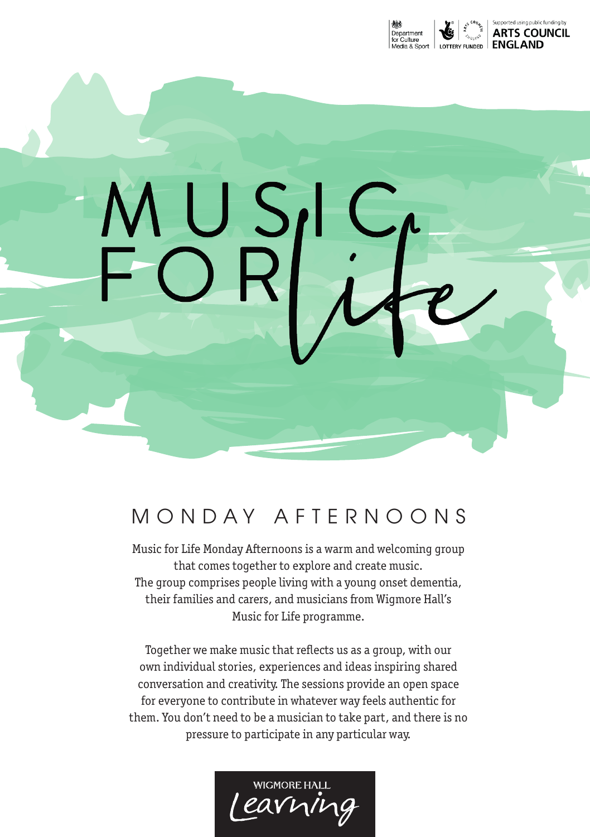

# MONDAY AFTERNOONS

 $\mathcal{L}$ 

MUS<br>FOR

Music for Life Monday Afternoons is a warm and welcoming group that comes together to explore and create music. The group comprises people living with a young onset dementia, their families and carers, and musicians from Wigmore Hall's Music for Life programme.

Together we make music that reflects us as a group, with our own individual stories, experiences and ideas inspiring shared conversation and creativity. The sessions provide an open space for everyone to contribute in whatever way feels authentic for them. You don't need to be a musician to take part, and there is no pressure to participate in any particular way.

**WIGMORE HALL** earning